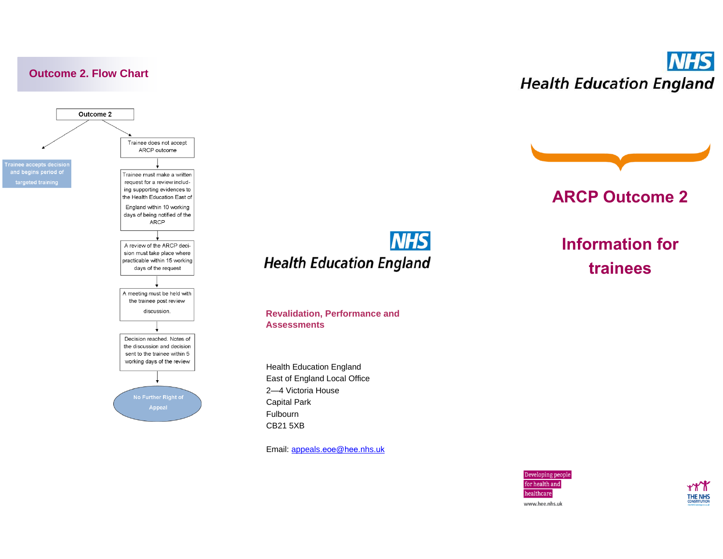

**NHS Health Education England** 



## **ARCP Outcome 2**

## **NHS Health Education England**

#### **Revalidation, Performance and Assessments**

Health Education England East of England Local Office 2—4 Victoria House Capital Park Fulbourn CB21 5XB

Email: [appeals](mailto:appeals.eoe@hee.nhs.uk).eoe@hee.nhs.uk

# **Information for trainees**